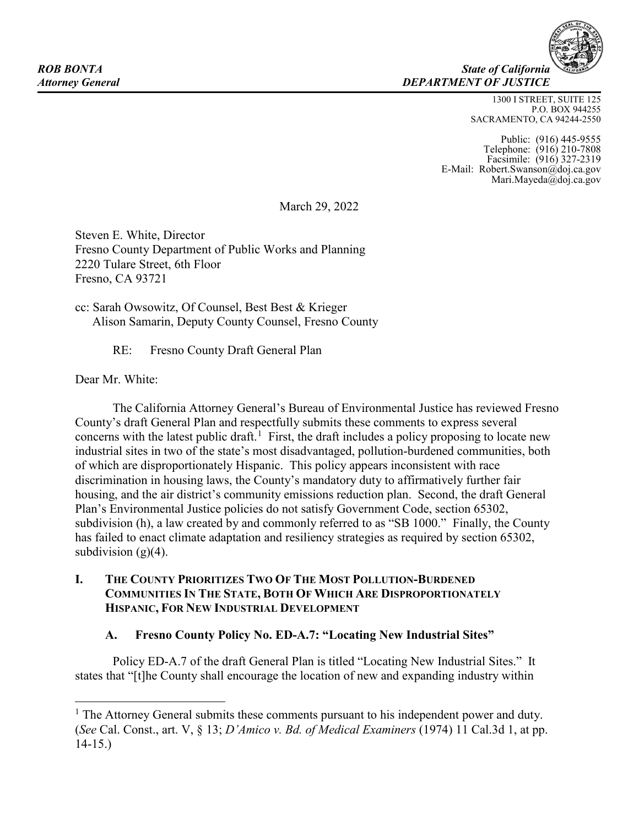**ROB BONTA** State of California *Attorney General DEPARTMENT OF JUSTICE*

> 1300 I STREET, SUITE 125 P.O. BOX 944255 SACRAMENTO, CA 94244-2550

Public: (916) 445-9555 Telephone: (916) 210-7808 Facsimile: (916) 327-2319 E-Mail: Robert.Swanson@doj.ca.gov Mari.Mayeda@doj.ca.gov

March 29, 2022

Steven E. White, Director Fresno County Department of Public Works and Planning 2220 Tulare Street, 6th Floor Fresno, CA 93721

cc: Sarah Owsowitz, Of Counsel, Best Best & Krieger Alison Samarin, Deputy County Counsel, Fresno County

RE: Fresno County Draft General Plan

Dear Mr. White:

The California Attorney General's Bureau of Environmental Justice has reviewed Fresno County's draft General Plan and respectfully submits these comments to express several concerns with the latest public draft.<sup>[1](#page-0-0)</sup> First, the draft includes a policy proposing to locate new industrial sites in two of the state's most disadvantaged, pollution-burdened communities, both of which are disproportionately Hispanic. This policy appears inconsistent with race discrimination in housing laws, the County's mandatory duty to affirmatively further fair housing, and the air district's community emissions reduction plan. Second, the draft General Plan's Environmental Justice policies do not satisfy Government Code, section 65302, subdivision (h), a law created by and commonly referred to as "SB 1000." Finally, the County has failed to enact climate adaptation and resiliency strategies as required by section 65302, subdivision  $(g)(4)$ .

## **I. THE COUNTY PRIORITIZES TWO OF THE MOST POLLUTION-BURDENED COMMUNITIES IN THE STATE, BOTH OF WHICH ARE DISPROPORTIONATELY HISPANIC, FOR NEW INDUSTRIAL DEVELOPMENT**

## **A. Fresno County Policy No. ED-A.7: "Locating New Industrial Sites"**

Policy ED-A.7 of the draft General Plan is titled "Locating New Industrial Sites." It states that "[t]he County shall encourage the location of new and expanding industry within

<span id="page-0-0"></span> $<sup>1</sup>$  The Attorney General submits these comments pursuant to his independent power and duty.</sup> (*See* Cal. Const., art. V, § 13; *D'Amico v. Bd. of Medical Examiners* (1974) 11 Cal.3d 1, at pp. 14-15.)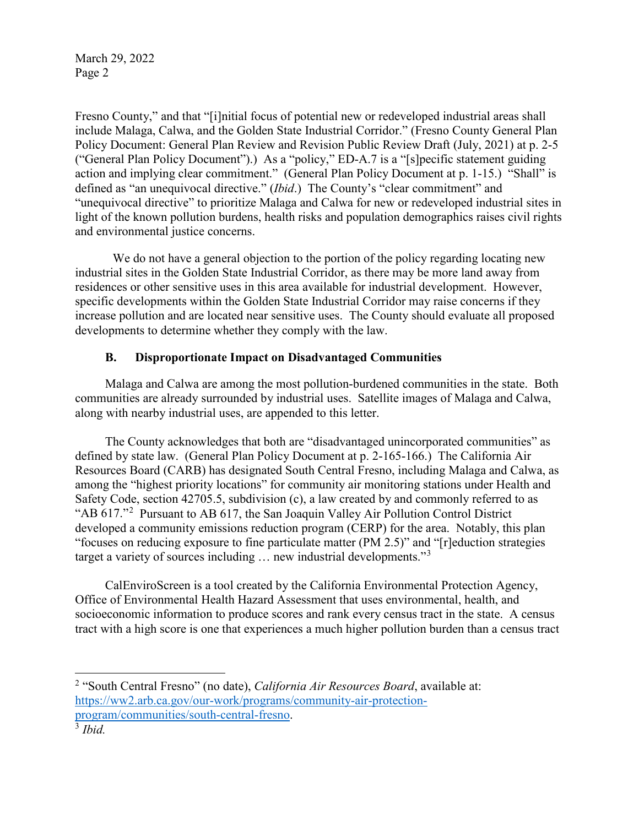Fresno County," and that "[i]nitial focus of potential new or redeveloped industrial areas shall include Malaga, Calwa, and the Golden State Industrial Corridor." (Fresno County General Plan Policy Document: General Plan Review and Revision Public Review Draft (July, 2021) at p. 2-5 ("General Plan Policy Document").) As a "policy," ED-A.7 is a "[s]pecific statement guiding action and implying clear commitment." (General Plan Policy Document at p. 1-15.) "Shall" is defined as "an unequivocal directive." (*Ibid*.) The County's "clear commitment" and "unequivocal directive" to prioritize Malaga and Calwa for new or redeveloped industrial sites in light of the known pollution burdens, health risks and population demographics raises civil rights and environmental justice concerns.

We do not have a general objection to the portion of the policy regarding locating new industrial sites in the Golden State Industrial Corridor, as there may be more land away from residences or other sensitive uses in this area available for industrial development. However, specific developments within the Golden State Industrial Corridor may raise concerns if they increase pollution and are located near sensitive uses. The County should evaluate all proposed developments to determine whether they comply with the law.

## **B. Disproportionate Impact on Disadvantaged Communities**

Malaga and Calwa are among the most pollution-burdened communities in the state. Both communities are already surrounded by industrial uses. Satellite images of Malaga and Calwa, along with nearby industrial uses, are appended to this letter.

The County acknowledges that both are "disadvantaged unincorporated communities" as defined by state law. (General Plan Policy Document at p. 2-165-166.) The California Air Resources Board (CARB) has designated South Central Fresno, including Malaga and Calwa, as among the "highest priority locations" for community air monitoring stations under Health and Safety Code, section 42705.5, subdivision (c), a law created by and commonly referred to as "AB  $617$ ."<sup>[2](#page-1-0)</sup> Pursuant to AB  $617$ , the San Joaquin Valley Air Pollution Control District developed a community emissions reduction program (CERP) for the area. Notably, this plan "focuses on reducing exposure to fine particulate matter (PM 2.5)" and "[r]eduction strategies target a variety of sources including ... new industrial developments."<sup>[3](#page-1-1)</sup>

CalEnviroScreen is a tool created by the California Environmental Protection Agency, Office of Environmental Health Hazard Assessment that uses environmental, health, and socioeconomic information to produce scores and rank every census tract in the state. A census tract with a high score is one that experiences a much higher pollution burden than a census tract

 $\overline{a}$ 

<span id="page-1-0"></span><sup>2</sup> "South Central Fresno" (no date), *California Air Resources Board*, available at: [https://ww2.arb.ca.gov/our-work/programs/community-air-protection](https://ww2.arb.ca.gov/our-work/programs/community-air-protection-program/communities/south-central-fresno)[program/communities/south-central-fresno.](https://ww2.arb.ca.gov/our-work/programs/community-air-protection-program/communities/south-central-fresno) 3 *Ibid.*

<span id="page-1-1"></span>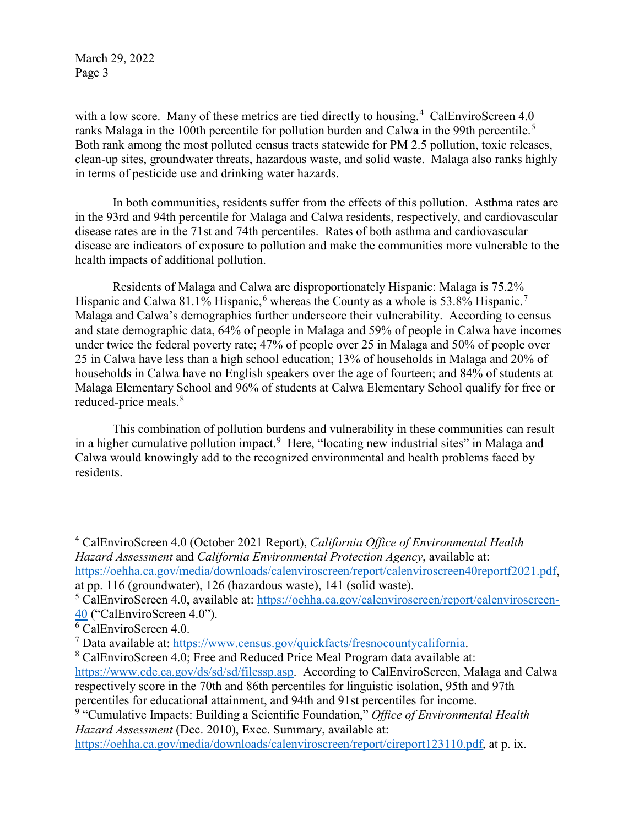with a low score. Many of these metrics are tied directly to housing.<sup>[4](#page-2-0)</sup> CalEnviroScreen 4.0 ranks Malaga in the 100th percentile for pollution burden and Calwa in the 99th percentile.<sup>[5](#page-2-1)</sup> Both rank among the most polluted census tracts statewide for PM 2.5 pollution, toxic releases, clean-up sites, groundwater threats, hazardous waste, and solid waste. Malaga also ranks highly in terms of pesticide use and drinking water hazards.

In both communities, residents suffer from the effects of this pollution. Asthma rates are in the 93rd and 94th percentile for Malaga and Calwa residents, respectively, and cardiovascular disease rates are in the 71st and 74th percentiles. Rates of both asthma and cardiovascular disease are indicators of exposure to pollution and make the communities more vulnerable to the health impacts of additional pollution.

Residents of Malaga and Calwa are disproportionately Hispanic: Malaga is 75.2% Hispanic and Calwa 81.1% Hispanic, whereas the County as a whole is 53.8% Hispanic.<sup>[7](#page-2-3)</sup> Malaga and Calwa's demographics further underscore their vulnerability. According to census and state demographic data, 64% of people in Malaga and 59% of people in Calwa have incomes under twice the federal poverty rate; 47% of people over 25 in Malaga and 50% of people over 25 in Calwa have less than a high school education; 13% of households in Malaga and 20% of households in Calwa have no English speakers over the age of fourteen; and 84% of students at Malaga Elementary School and 96% of students at Calwa Elementary School qualify for free or reduced-price meals.<sup>[8](#page-2-4)</sup>

This combination of pollution burdens and vulnerability in these communities can result in a higher cumulative pollution impact.<sup>[9](#page-2-5)</sup> Here, "locating new industrial sites" in Malaga and Calwa would knowingly add to the recognized environmental and health problems faced by residents.

<span id="page-2-0"></span><sup>4</sup> CalEnviroScreen 4.0 (October 2021 Report), *California Office of Environmental Health Hazard Assessment* and *California Environmental Protection Agency*, available at: [https://oehha.ca.gov/media/downloads/calenviroscreen/report/calenviroscreen40reportf2021.pdf,](https://oehha.ca.gov/media/downloads/calenviroscreen/report/calenviroscreen40reportf2021.pdf)

at pp. 116 (groundwater), 126 (hazardous waste), 141 (solid waste).

 $\overline{a}$ 

<span id="page-2-1"></span><sup>5</sup> CalEnviroScreen 4.0, available at: [https://oehha.ca.gov/calenviroscreen/report/calenviroscreen-](https://oehha.ca.gov/calenviroscreen/report/calenviroscreen-40)[40](https://oehha.ca.gov/calenviroscreen/report/calenviroscreen-40) ("CalEnviroScreen 4.0").

<span id="page-2-2"></span><sup>6</sup> CalEnviroScreen 4.0.

<span id="page-2-3"></span> $<sup>7</sup>$  Data available at: [https://www.census.gov/quickfacts/fresnocountycalifornia.](https://www.census.gov/quickfacts/fresnocountycalifornia)</sup>

<span id="page-2-4"></span><sup>&</sup>lt;sup>8</sup> CalEnviroScreen 4.0; Free and Reduced Price Meal Program data available at: [https://www.cde.ca.gov/ds/sd/sd/filessp.asp.](https://www.cde.ca.gov/ds/sd/sd/filessp.asp) According to CalEnviroScreen, Malaga and Calwa respectively score in the 70th and 86th percentiles for linguistic isolation, 95th and 97th percentiles for educational attainment, and 94th and 91st percentiles for income.

<span id="page-2-5"></span><sup>9</sup> "Cumulative Impacts: Building a Scientific Foundation," *Office of Environmental Health Hazard Assessment* (Dec. 2010), Exec. Summary, available at:

[https://oehha.ca.gov/media/downloads/calenviroscreen/report/cireport123110.pdf,](https://oehha.ca.gov/media/downloads/calenviroscreen/report/cireport123110.pdf) at p. ix.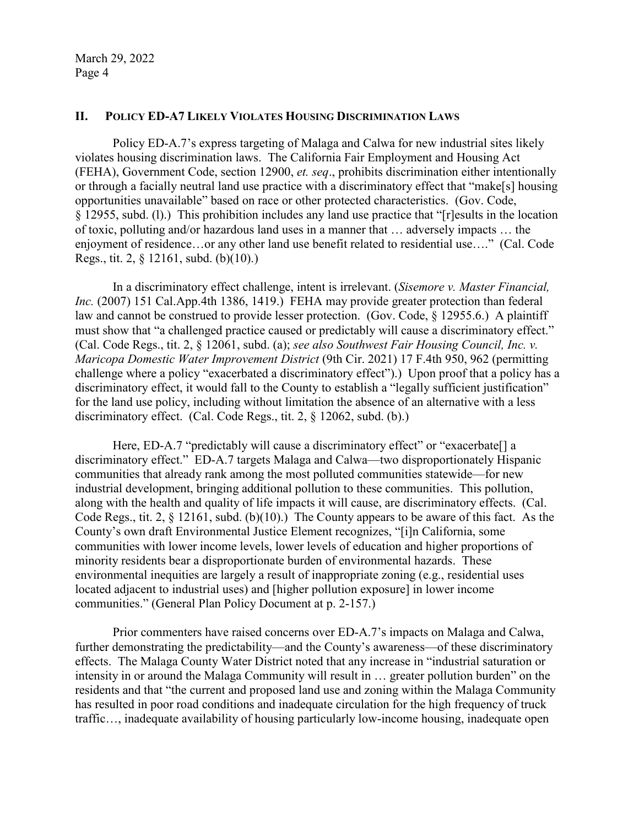#### **II. POLICY ED-A7 LIKELY VIOLATES HOUSING DISCRIMINATION LAWS**

Policy ED-A.7's express targeting of Malaga and Calwa for new industrial sites likely violates housing discrimination laws. The California Fair Employment and Housing Act (FEHA), Government Code, section 12900, *et. seq*., prohibits discrimination either intentionally or through a facially neutral land use practice with a discriminatory effect that "make[s] housing opportunities unavailable" based on race or other protected characteristics. (Gov. Code, § 12955, subd. (l).) This prohibition includes any land use practice that "[r]esults in the location of toxic, polluting and/or hazardous land uses in a manner that … adversely impacts … the enjoyment of residence…or any other land use benefit related to residential use…." (Cal. Code Regs., tit. 2, § 12161, subd. (b)(10).)

In a discriminatory effect challenge, intent is irrelevant. (*Sisemore v. Master Financial, Inc.* (2007) 151 Cal.App.4th 1386, 1419.) FEHA may provide greater protection than federal law and cannot be construed to provide lesser protection. (Gov. Code, § 12955.6.) A plaintiff must show that "a challenged practice caused or predictably will cause a discriminatory effect." (Cal. Code Regs., tit. 2, § 12061, subd. (a); *see also Southwest Fair Housing Council, Inc. v. Maricopa Domestic Water Improvement District* (9th Cir. 2021) 17 F.4th 950, 962 (permitting challenge where a policy "exacerbated a discriminatory effect").) Upon proof that a policy has a discriminatory effect, it would fall to the County to establish a "legally sufficient justification" for the land use policy, including without limitation the absence of an alternative with a less discriminatory effect. (Cal. Code Regs., tit. 2, § 12062, subd. (b).)

Here, ED-A.7 "predictably will cause a discriminatory effect" or "exacerbate<sup>[]</sup> a discriminatory effect." ED-A.7 targets Malaga and Calwa—two disproportionately Hispanic communities that already rank among the most polluted communities statewide—for new industrial development, bringing additional pollution to these communities. This pollution, along with the health and quality of life impacts it will cause, are discriminatory effects. (Cal. Code Regs., tit. 2, § 12161, subd. (b)(10).) The County appears to be aware of this fact. As the County's own draft Environmental Justice Element recognizes, "[i]n California, some communities with lower income levels, lower levels of education and higher proportions of minority residents bear a disproportionate burden of environmental hazards. These environmental inequities are largely a result of inappropriate zoning (e.g., residential uses located adjacent to industrial uses) and [higher pollution exposure] in lower income communities." (General Plan Policy Document at p. 2-157.)

Prior commenters have raised concerns over ED-A.7's impacts on Malaga and Calwa, further demonstrating the predictability—and the County's awareness—of these discriminatory effects. The Malaga County Water District noted that any increase in "industrial saturation or intensity in or around the Malaga Community will result in … greater pollution burden" on the residents and that "the current and proposed land use and zoning within the Malaga Community has resulted in poor road conditions and inadequate circulation for the high frequency of truck traffic…, inadequate availability of housing particularly low-income housing, inadequate open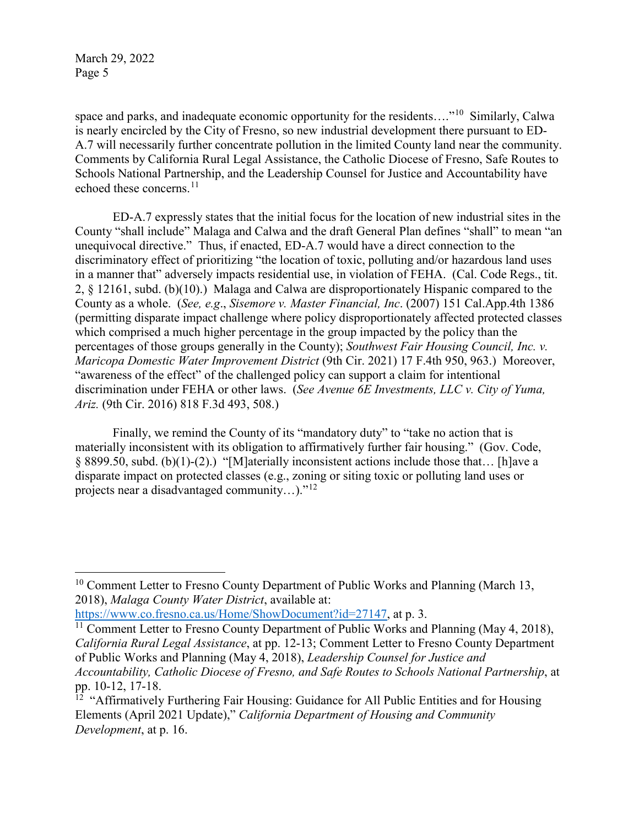$\overline{a}$ 

space and parks, and inadequate economic opportunity for the residents...."<sup>[10](#page-4-0)</sup> Similarly, Calwa is nearly encircled by the City of Fresno, so new industrial development there pursuant to ED-A.7 will necessarily further concentrate pollution in the limited County land near the community. Comments by California Rural Legal Assistance, the Catholic Diocese of Fresno, Safe Routes to Schools National Partnership, and the Leadership Counsel for Justice and Accountability have echoed these concerns.<sup>11</sup>

ED-A.7 expressly states that the initial focus for the location of new industrial sites in the County "shall include" Malaga and Calwa and the draft General Plan defines "shall" to mean "an unequivocal directive." Thus, if enacted, ED-A.7 would have a direct connection to the discriminatory effect of prioritizing "the location of toxic, polluting and/or hazardous land uses in a manner that" adversely impacts residential use, in violation of FEHA. (Cal. Code Regs., tit. 2, § 12161, subd. (b)(10).) Malaga and Calwa are disproportionately Hispanic compared to the County as a whole. (*See, e.g*., *Sisemore v. Master Financial, Inc*. (2007) 151 Cal.App.4th 1386 (permitting disparate impact challenge where policy disproportionately affected protected classes which comprised a much higher percentage in the group impacted by the policy than the percentages of those groups generally in the County); *Southwest Fair Housing Council, Inc. v. Maricopa Domestic Water Improvement District* (9th Cir. 2021) 17 F.4th 950, 963.) Moreover, "awareness of the effect" of the challenged policy can support a claim for intentional discrimination under FEHA or other laws. (*See Avenue 6E Investments, LLC v. City of Yuma, Ariz.* (9th Cir. 2016) 818 F.3d 493, 508.)

Finally, we remind the County of its "mandatory duty" to "take no action that is materially inconsistent with its obligation to affirmatively further fair housing." (Gov. Code, § 8899.50, subd. (b)(1)-(2).) "[M]aterially inconsistent actions include those that… [h]ave a disparate impact on protected classes (e.g., zoning or siting toxic or polluting land uses or projects near a disadvantaged community…)."[12](#page-4-2)

[https://www.co.fresno.ca.us/Home/ShowDocument?id=27147,](https://www.co.fresno.ca.us/Home/ShowDocument?id=27147) at p. 3.

<span id="page-4-0"></span> $10$  Comment Letter to Fresno County Department of Public Works and Planning (March 13, 2018), *Malaga County Water District*, available at:

<span id="page-4-1"></span><sup>&</sup>lt;sup>11</sup> Comment Letter to Fresno County Department of Public Works and Planning (May 4, 2018), *California Rural Legal Assistance*, at pp. 12-13; Comment Letter to Fresno County Department of Public Works and Planning (May 4, 2018), *Leadership Counsel for Justice and Accountability, Catholic Diocese of Fresno, and Safe Routes to Schools National Partnership*, at pp. 10-12, 17-18.

<span id="page-4-2"></span><sup>&</sup>lt;sup>12</sup> "Affirmatively Furthering Fair Housing: Guidance for All Public Entities and for Housing Elements (April 2021 Update)," *California Department of Housing and Community Development*, at p. 16.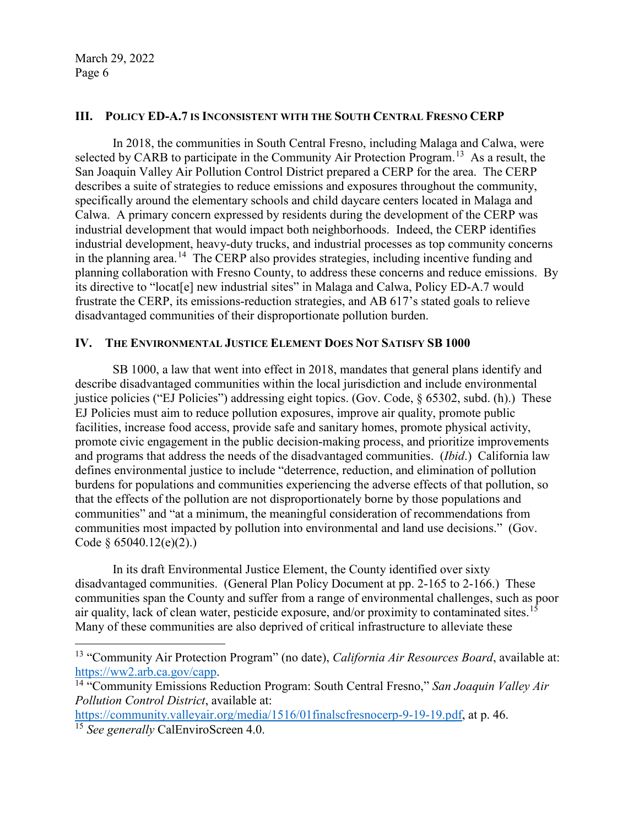$\overline{a}$ 

### **III. POLICY ED-A.7 IS INCONSISTENT WITH THE SOUTH CENTRAL FRESNO CERP**

In 2018, the communities in South Central Fresno, including Malaga and Calwa, were selected by CARB to participate in the Community Air Protection Program.<sup>13</sup> As a result, the San Joaquin Valley Air Pollution Control District prepared a CERP for the area. The CERP describes a suite of strategies to reduce emissions and exposures throughout the community, specifically around the elementary schools and child daycare centers located in Malaga and Calwa. A primary concern expressed by residents during the development of the CERP was industrial development that would impact both neighborhoods. Indeed, the CERP identifies industrial development, heavy-duty trucks, and industrial processes as top community concerns in the planning area.<sup>14</sup> The CERP also provides strategies, including incentive funding and planning collaboration with Fresno County, to address these concerns and reduce emissions. By its directive to "locat[e] new industrial sites" in Malaga and Calwa, Policy ED-A.7 would frustrate the CERP, its emissions-reduction strategies, and AB 617's stated goals to relieve disadvantaged communities of their disproportionate pollution burden.

#### **IV. THE ENVIRONMENTAL JUSTICE ELEMENT DOES NOT SATISFY SB 1000**

SB 1000, a law that went into effect in 2018, mandates that general plans identify and describe disadvantaged communities within the local jurisdiction and include environmental justice policies ("EJ Policies") addressing eight topics. (Gov. Code, § 65302, subd. (h).) These EJ Policies must aim to reduce pollution exposures, improve air quality, promote public facilities, increase food access, provide safe and sanitary homes, promote physical activity, promote civic engagement in the public decision-making process, and prioritize improvements and programs that address the needs of the disadvantaged communities. (*Ibid*.) California law defines environmental justice to include "deterrence, reduction, and elimination of pollution burdens for populations and communities experiencing the adverse effects of that pollution, so that the effects of the pollution are not disproportionately borne by those populations and communities" and "at a minimum, the meaningful consideration of recommendations from communities most impacted by pollution into environmental and land use decisions." (Gov. Code  $§$  65040.12(e)(2).)

In its draft Environmental Justice Element, the County identified over sixty disadvantaged communities. (General Plan Policy Document at pp. 2-165 to 2-166.) These communities span the County and suffer from a range of environmental challenges, such as poor air quality, lack of clean water, pesticide exposure, and/or proximity to contaminated sites.<sup>15</sup> Many of these communities are also deprived of critical infrastructure to alleviate these

<span id="page-5-2"></span>[https://community.valleyair.org/media/1516/01finalscfresnocerp-9-19-19.pdf,](https://community.valleyair.org/media/1516/01finalscfresnocerp-9-19-19.pdf) at p. 46. <sup>15</sup> *See generally* CalEnviroScreen 4.0.

<span id="page-5-0"></span><sup>13 &</sup>quot;Community Air Protection Program" (no date), *California Air Resources Board*, available at: [https://ww2.arb.ca.gov/capp.](https://ww2.arb.ca.gov/capp) 14 "Community Emissions Reduction Program: South Central Fresno," *San Joaquin Valley Air* 

<span id="page-5-1"></span>*Pollution Control District*, available at: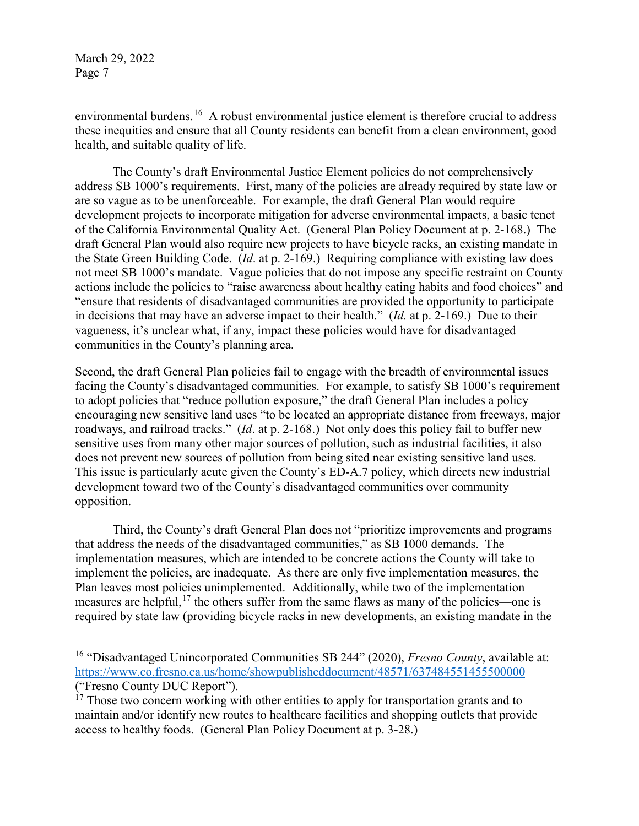$\overline{a}$ 

environmental burdens.<sup>[16](#page-6-0)</sup> A robust environmental justice element is therefore crucial to address these inequities and ensure that all County residents can benefit from a clean environment, good health, and suitable quality of life.

The County's draft Environmental Justice Element policies do not comprehensively address SB 1000's requirements. First, many of the policies are already required by state law or are so vague as to be unenforceable. For example, the draft General Plan would require development projects to incorporate mitigation for adverse environmental impacts, a basic tenet of the California Environmental Quality Act. (General Plan Policy Document at p. 2-168.) The draft General Plan would also require new projects to have bicycle racks, an existing mandate in the State Green Building Code. (*Id*. at p. 2-169.) Requiring compliance with existing law does not meet SB 1000's mandate. Vague policies that do not impose any specific restraint on County actions include the policies to "raise awareness about healthy eating habits and food choices" and "ensure that residents of disadvantaged communities are provided the opportunity to participate in decisions that may have an adverse impact to their health." (*Id.* at p. 2-169.) Due to their vagueness, it's unclear what, if any, impact these policies would have for disadvantaged communities in the County's planning area.

Second, the draft General Plan policies fail to engage with the breadth of environmental issues facing the County's disadvantaged communities. For example, to satisfy SB 1000's requirement to adopt policies that "reduce pollution exposure," the draft General Plan includes a policy encouraging new sensitive land uses "to be located an appropriate distance from freeways, major roadways, and railroad tracks." (*Id*. at p. 2-168.) Not only does this policy fail to buffer new sensitive uses from many other major sources of pollution, such as industrial facilities, it also does not prevent new sources of pollution from being sited near existing sensitive land uses. This issue is particularly acute given the County's ED-A.7 policy, which directs new industrial development toward two of the County's disadvantaged communities over community opposition.

Third, the County's draft General Plan does not "prioritize improvements and programs that address the needs of the disadvantaged communities," as SB 1000 demands. The implementation measures, which are intended to be concrete actions the County will take to implement the policies, are inadequate. As there are only five implementation measures, the Plan leaves most policies unimplemented. Additionally, while two of the implementation measures are helpful,<sup>[17](#page-6-1)</sup> the others suffer from the same flaws as many of the policies—one is required by state law (providing bicycle racks in new developments, an existing mandate in the

<span id="page-6-0"></span><sup>16 &</sup>quot;Disadvantaged Unincorporated Communities SB 244" (2020), *Fresno County*, available at: <https://www.co.fresno.ca.us/home/showpublisheddocument/48571/637484551455500000> ("Fresno County DUC Report").

<span id="page-6-1"></span> $17$  Those two concern working with other entities to apply for transportation grants and to maintain and/or identify new routes to healthcare facilities and shopping outlets that provide access to healthy foods. (General Plan Policy Document at p. 3-28.)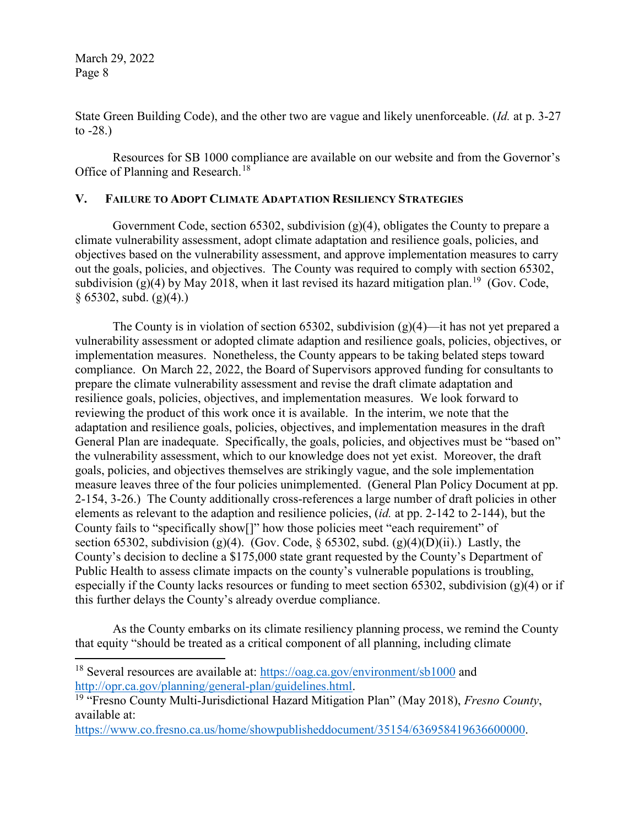$\overline{a}$ 

State Green Building Code), and the other two are vague and likely unenforceable. (*Id.* at p. 3-27 to  $-28.$ )

Resources for SB 1000 compliance are available on our website and from the Governor's Office of Planning and Research.<sup>[18](#page-7-0)</sup>

#### **V. FAILURE TO ADOPT CLIMATE ADAPTATION RESILIENCY STRATEGIES**

Government Code, section 65302, subdivision (g)(4), obligates the County to prepare a climate vulnerability assessment, adopt climate adaptation and resilience goals, policies, and objectives based on the vulnerability assessment, and approve implementation measures to carry out the goals, policies, and objectives. The County was required to comply with section 65302, subdivision (g)(4) by May 2018, when it last revised its hazard mitigation plan.<sup>[19](#page-7-1)</sup> (Gov. Code,  $§ 65302$ , subd. (g)(4).)

The County is in violation of section 65302, subdivision  $(g)(4)$ —it has not yet prepared a vulnerability assessment or adopted climate adaption and resilience goals, policies, objectives, or implementation measures. Nonetheless, the County appears to be taking belated steps toward compliance. On March 22, 2022, the Board of Supervisors approved funding for consultants to prepare the climate vulnerability assessment and revise the draft climate adaptation and resilience goals, policies, objectives, and implementation measures. We look forward to reviewing the product of this work once it is available. In the interim, we note that the adaptation and resilience goals, policies, objectives, and implementation measures in the draft General Plan are inadequate. Specifically, the goals, policies, and objectives must be "based on" the vulnerability assessment, which to our knowledge does not yet exist. Moreover, the draft goals, policies, and objectives themselves are strikingly vague, and the sole implementation measure leaves three of the four policies unimplemented. (General Plan Policy Document at pp. 2-154, 3-26.) The County additionally cross-references a large number of draft policies in other elements as relevant to the adaption and resilience policies, (*id.* at pp. 2-142 to 2-144), but the County fails to "specifically show[]" how those policies meet "each requirement" of section 65302, subdivision (g)(4). (Gov. Code,  $\S$  65302, subd. (g)(4)(D)(ii).) Lastly, the County's decision to decline a \$175,000 state grant requested by the County's Department of Public Health to assess climate impacts on the county's vulnerable populations is troubling, especially if the County lacks resources or funding to meet section 65302, subdivision (g)(4) or if this further delays the County's already overdue compliance.

As the County embarks on its climate resiliency planning process, we remind the County that equity "should be treated as a critical component of all planning, including climate

<span id="page-7-0"></span><sup>&</sup>lt;sup>18</sup> Several resources are available at: <https://oag.ca.gov/environment/sb1000> and [http://opr.ca.gov/planning/general-plan/guidelines.html.](http://opr.ca.gov/planning/general-plan/guidelines.html) [19](http://opr.ca.gov/planning/general-plan/guidelines.html) "Fresno County Multi-Jurisdictional Hazard Mitigation Plan" (May 2018), *Fresno County*,

<span id="page-7-1"></span>available at:

[https://www.co.fresno.ca.us/home/showpublisheddocument/35154/636958419636600000.](https://www.co.fresno.ca.us/home/showpublisheddocument/35154/636958419636600000)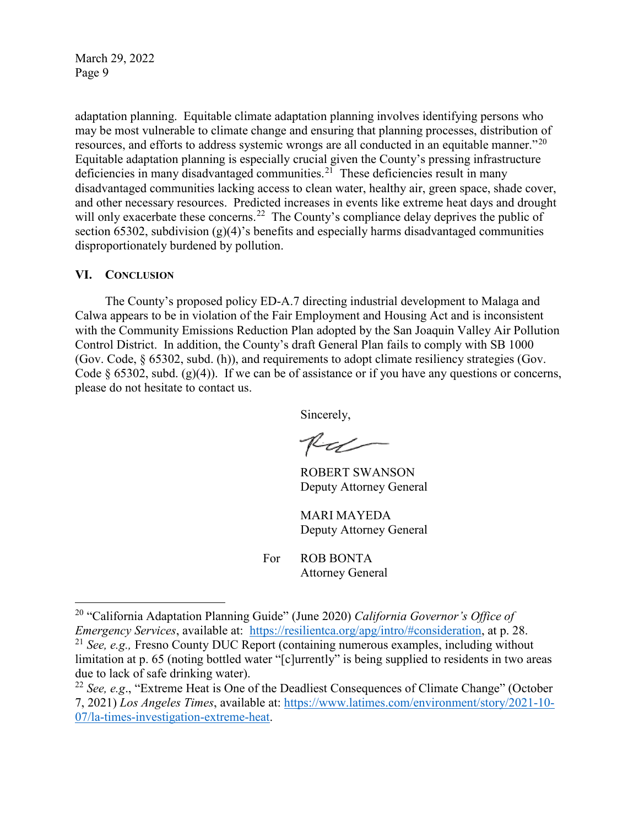adaptation planning. Equitable climate adaptation planning involves identifying persons who may be most vulnerable to climate change and ensuring that planning processes, distribution of resources, and efforts to address systemic wrongs are all conducted in an equitable manner."<sup>[20](#page-8-0)</sup> Equitable adaptation planning is especially crucial given the County's pressing infrastructure deficiencies in many disadvantaged communities.[21](#page-8-1) These deficiencies result in many disadvantaged communities lacking access to clean water, healthy air, green space, shade cover, and other necessary resources. Predicted increases in events like extreme heat days and drought will only exacerbate these concerns.<sup>[22](#page-8-2)</sup> The County's compliance delay deprives the public of section 65302, subdivision  $(g)(4)$ 's benefits and especially harms disadvantaged communities disproportionately burdened by pollution.

#### **VI. CONCLUSION**

 $\overline{a}$ 

The County's proposed policy ED-A.7 directing industrial development to Malaga and Calwa appears to be in violation of the Fair Employment and Housing Act and is inconsistent with the Community Emissions Reduction Plan adopted by the San Joaquin Valley Air Pollution Control District. In addition, the County's draft General Plan fails to comply with SB 1000 (Gov. Code, § 65302, subd. (h)), and requirements to adopt climate resiliency strategies (Gov. Code  $\S$  65302, subd. (g)(4)). If we can be of assistance or if you have any questions or concerns, please do not hesitate to contact us.

Sincerely,

RU

ROBERT SWANSON Deputy Attorney General

MARI MAYEDA Deputy Attorney General

For ROB BONTA Attorney General

<span id="page-8-0"></span><sup>20</sup> "California Adaptation Planning Guide" (June 2020) *California Governor's Office of Emergency Services*, available at: [https://resilientca.org/apg/intro/#consideration,](https://resilientca.org/apg/intro/#consideration) at p. 28.

<span id="page-8-1"></span><sup>21</sup> *See, e.g.,* Fresno County DUC Report (containing numerous examples, including without limitation at p. 65 (noting bottled water "[c]urrently" is being supplied to residents in two areas due to lack of safe drinking water).

<span id="page-8-2"></span><sup>22</sup> *See, e.g*., "Extreme Heat is One of the Deadliest Consequences of Climate Change" (October 7, 2021) *Los Angeles Times*, available at: [https://www.latimes.com/environment/story/2021-10-](https://www.latimes.com/environment/story/2021-10-07/la-times-investigation-extreme-heat) [07/la-times-investigation-extreme-heat.](https://www.latimes.com/environment/story/2021-10-07/la-times-investigation-extreme-heat)